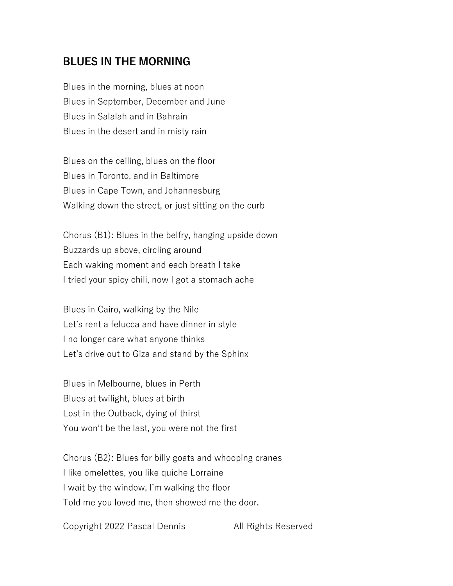## **BLUES IN THE MORNING**

Blues in the morning, blues at noon Blues in September, December and June Blues in Salalah and in Bahrain Blues in the desert and in misty rain

Blues on the ceiling, blues on the floor Blues in Toronto, and in Baltimore Blues in Cape Town, and Johannesburg Walking down the street, or just sitting on the curb

Chorus (B1): Blues in the belfry, hanging upside down Buzzards up above, circling around Each waking moment and each breath I take I tried your spicy chili, now I got a stomach ache

Blues in Cairo, walking by the Nile Let's rent a felucca and have dinner in style I no longer care what anyone thinks Let's drive out to Giza and stand by the Sphinx

Blues in Melbourne, blues in Perth Blues at twilight, blues at birth Lost in the Outback, dying of thirst You won't be the last, you were not the first

Chorus (B2): Blues for billy goats and whooping cranes I like omelettes, you like quiche Lorraine I wait by the window, I'm walking the floor Told me you loved me, then showed me the door.

Copyright 2022 Pascal Dennis All Rights Reserved